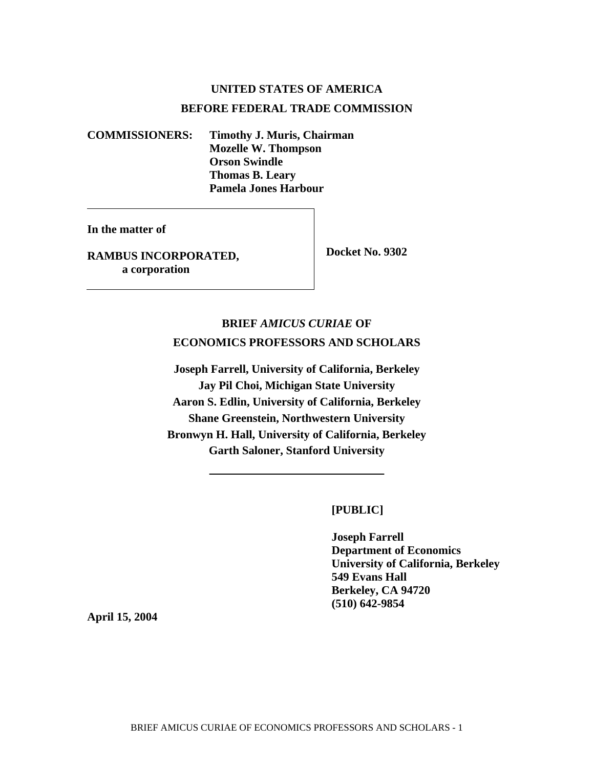# **UNITED STATES OF AMERICA BEFORE FEDERAL TRADE COMMISSION**

**COMMISSIONERS: Timothy J. Muris, Chairman Mozelle W. Thompson Orson Swindle Thomas B. Leary Pamela Jones Harbour** 

**In the matter of** 

**RAMBUS INCORPORATED, a corporation** 

 **Docket No. 9302** 

# **BRIEF** *AMICUS CURIAE* **OF ECONOMICS PROFESSORS AND SCHOLARS**

**Joseph Farrell, University of California, Berkeley Jay Pil Choi, Michigan State University Aaron S. Edlin, University of California, Berkeley Shane Greenstein, Northwestern University Bronwyn H. Hall, University of California, Berkeley Garth Saloner, Stanford University** 

 **[PUBLIC]** 

 **Joseph Farrell Department of Economics University of California, Berkeley 549 Evans Hall Berkeley, CA 94720 (510) 642-9854**

**April 15, 2004**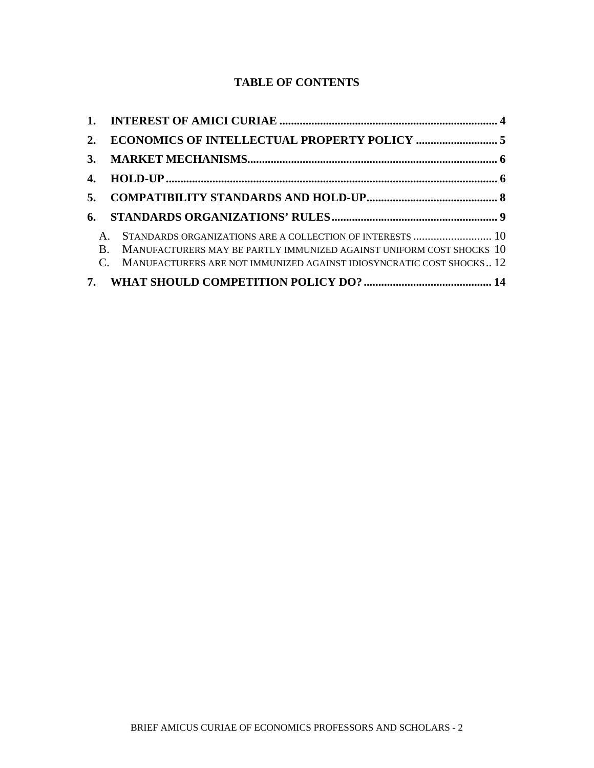## **TABLE OF CONTENTS**

| 5.           |                                                                                                                                                                                                              |
|--------------|--------------------------------------------------------------------------------------------------------------------------------------------------------------------------------------------------------------|
| 6.           |                                                                                                                                                                                                              |
| $\mathbf{B}$ | STANDARDS ORGANIZATIONS ARE A COLLECTION OF INTERESTS  10<br>MANUFACTURERS MAY BE PARTLY IMMUNIZED AGAINST UNIFORM COST SHOCKS 10<br>C. MANUFACTURERS ARE NOT IMMUNIZED AGAINST IDIOSYNCRATIC COST SHOCKS 12 |
|              |                                                                                                                                                                                                              |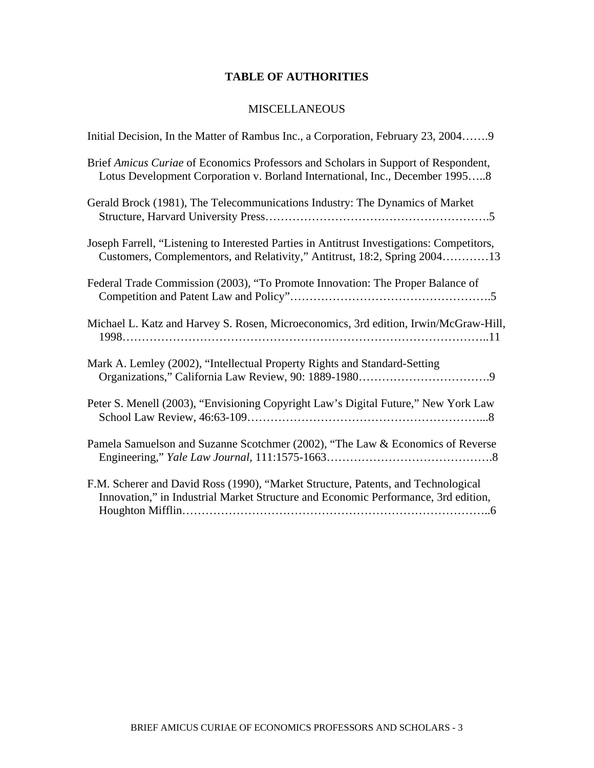## **TABLE OF AUTHORITIES**

## **MISCELLANEOUS**

| Initial Decision, In the Matter of Rambus Inc., a Corporation, February 23, 20049                                                                                       |
|-------------------------------------------------------------------------------------------------------------------------------------------------------------------------|
| Brief Amicus Curiae of Economics Professors and Scholars in Support of Respondent,<br>Lotus Development Corporation v. Borland International, Inc., December 19958      |
| Gerald Brock (1981), The Telecommunications Industry: The Dynamics of Market                                                                                            |
| Joseph Farrell, "Listening to Interested Parties in Antitrust Investigations: Competitors,<br>Customers, Complementors, and Relativity," Antitrust, 18:2, Spring 200413 |
| Federal Trade Commission (2003), "To Promote Innovation: The Proper Balance of                                                                                          |
| Michael L. Katz and Harvey S. Rosen, Microeconomics, 3rd edition, Irwin/McGraw-Hill,                                                                                    |
| Mark A. Lemley (2002), "Intellectual Property Rights and Standard-Setting                                                                                               |
| Peter S. Menell (2003), "Envisioning Copyright Law's Digital Future," New York Law                                                                                      |
| Pamela Samuelson and Suzanne Scotchmer (2002), "The Law & Economics of Reverse                                                                                          |
| F.M. Scherer and David Ross (1990), "Market Structure, Patents, and Technological<br>Innovation," in Industrial Market Structure and Economic Performance, 3rd edition, |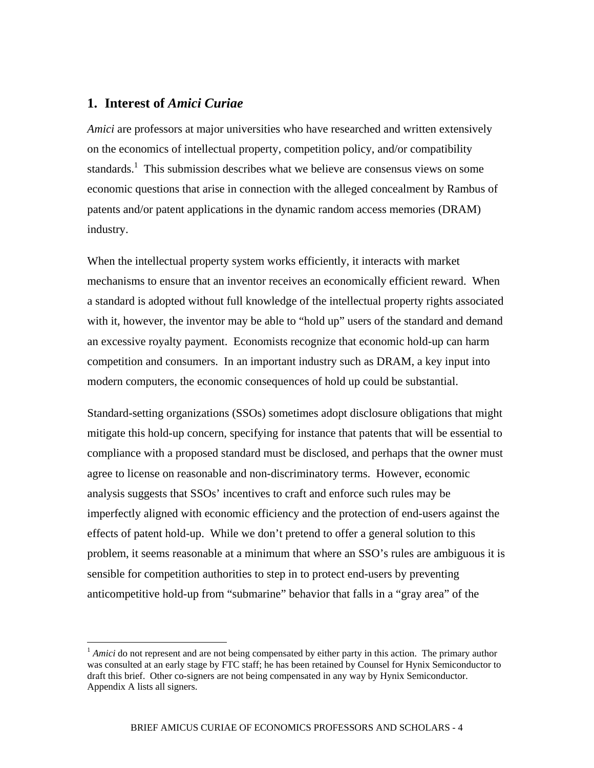### **1. Interest of** *Amici Curiae*

 $\overline{a}$ 

*Amici* are professors at major universities who have researched and written extensively on the economics of intellectual property, competition policy, and/or compatibility standards.<sup>1</sup> This submission describes what we believe are consensus views on some economic questions that arise in connection with the alleged concealment by Rambus of patents and/or patent applications in the dynamic random access memories (DRAM) industry.

When the intellectual property system works efficiently, it interacts with market mechanisms to ensure that an inventor receives an economically efficient reward. When a standard is adopted without full knowledge of the intellectual property rights associated with it, however, the inventor may be able to "hold up" users of the standard and demand an excessive royalty payment. Economists recognize that economic hold-up can harm competition and consumers. In an important industry such as DRAM, a key input into modern computers, the economic consequences of hold up could be substantial.

Standard-setting organizations (SSOs) sometimes adopt disclosure obligations that might mitigate this hold-up concern, specifying for instance that patents that will be essential to compliance with a proposed standard must be disclosed, and perhaps that the owner must agree to license on reasonable and non-discriminatory terms. However, economic analysis suggests that SSOs' incentives to craft and enforce such rules may be imperfectly aligned with economic efficiency and the protection of end-users against the effects of patent hold-up. While we don't pretend to offer a general solution to this problem, it seems reasonable at a minimum that where an SSO's rules are ambiguous it is sensible for competition authorities to step in to protect end-users by preventing anticompetitive hold-up from "submarine" behavior that falls in a "gray area" of the

<sup>&</sup>lt;sup>1</sup> *Amici* do not represent and are not being compensated by either party in this action. The primary author was consulted at an early stage by FTC staff; he has been retained by Counsel for Hynix Semiconductor to draft this brief. Other co-signers are not being compensated in any way by Hynix Semiconductor. Appendix A lists all signers.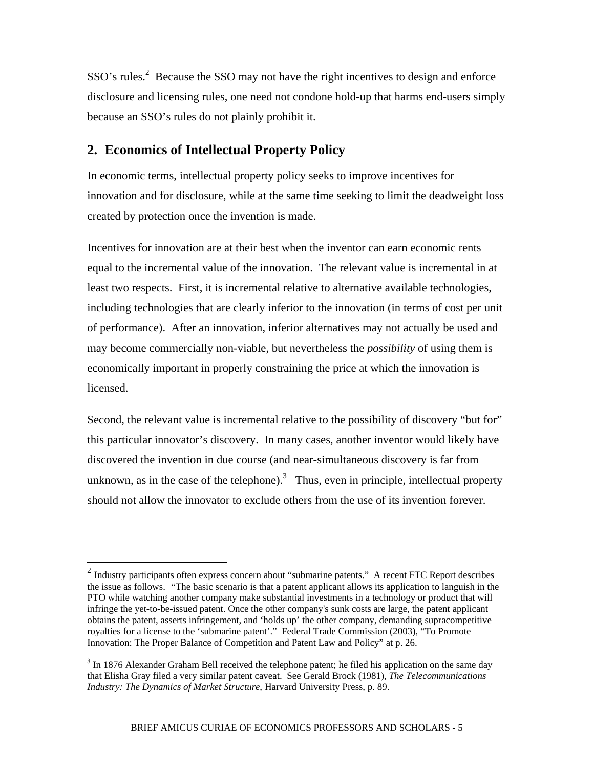$SSO's rules.<sup>2</sup>$  Because the SSO may not have the right incentives to design and enforce disclosure and licensing rules, one need not condone hold-up that harms end-users simply because an SSO's rules do not plainly prohibit it.

## **2. Economics of Intellectual Property Policy**

 $\overline{a}$ 

In economic terms, intellectual property policy seeks to improve incentives for innovation and for disclosure, while at the same time seeking to limit the deadweight loss created by protection once the invention is made.

Incentives for innovation are at their best when the inventor can earn economic rents equal to the incremental value of the innovation. The relevant value is incremental in at least two respects. First, it is incremental relative to alternative available technologies, including technologies that are clearly inferior to the innovation (in terms of cost per unit of performance). After an innovation, inferior alternatives may not actually be used and may become commercially non-viable, but nevertheless the *possibility* of using them is economically important in properly constraining the price at which the innovation is licensed.

Second, the relevant value is incremental relative to the possibility of discovery "but for" this particular innovator's discovery. In many cases, another inventor would likely have discovered the invention in due course (and near-simultaneous discovery is far from unknown, as in the case of the telephone).<sup>3</sup> Thus, even in principle, intellectual property should not allow the innovator to exclude others from the use of its invention forever.

<sup>&</sup>lt;sup>2</sup> Industry participants often express concern about "submarine patents." A recent FTC Report describes the issue as follows. "The basic scenario is that a patent applicant allows its application to languish in the PTO while watching another company make substantial investments in a technology or product that will infringe the yet-to-be-issued patent. Once the other company's sunk costs are large, the patent applicant obtains the patent, asserts infringement, and 'holds up' the other company, demanding supracompetitive royalties for a license to the 'submarine patent'." Federal Trade Commission (2003), "To Promote Innovation: The Proper Balance of Competition and Patent Law and Policy" at p. 26.

 $3 \text{ In } 1876$  Alexander Graham Bell received the telephone patent; he filed his application on the same day that Elisha Gray filed a very similar patent caveat. See Gerald Brock (1981), *The Telecommunications Industry: The Dynamics of Market Structure*, Harvard University Press, p. 89.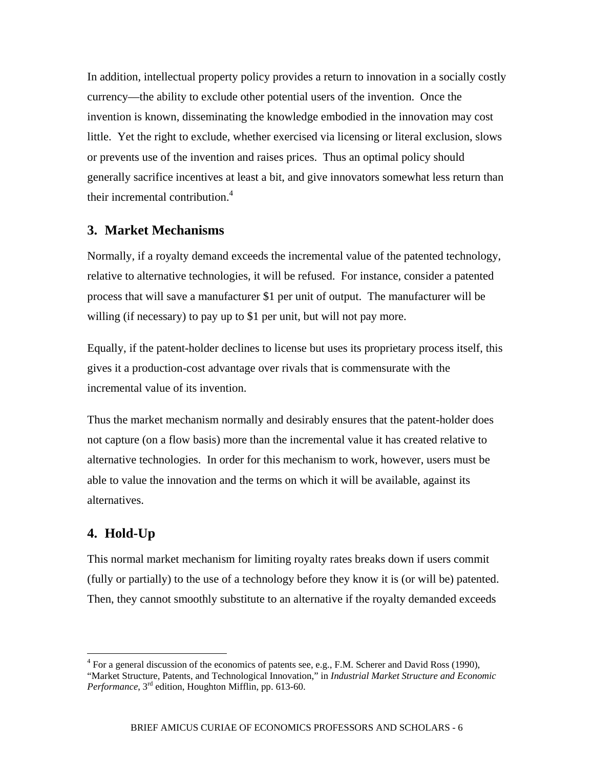In addition, intellectual property policy provides a return to innovation in a socially costly currency—the ability to exclude other potential users of the invention. Once the invention is known, disseminating the knowledge embodied in the innovation may cost little. Yet the right to exclude, whether exercised via licensing or literal exclusion, slows or prevents use of the invention and raises prices. Thus an optimal policy should generally sacrifice incentives at least a bit, and give innovators somewhat less return than their incremental contribution. $4$ 

## **3. Market Mechanisms**

Normally, if a royalty demand exceeds the incremental value of the patented technology, relative to alternative technologies, it will be refused. For instance, consider a patented process that will save a manufacturer \$1 per unit of output. The manufacturer will be willing (if necessary) to pay up to \$1 per unit, but will not pay more.

Equally, if the patent-holder declines to license but uses its proprietary process itself, this gives it a production-cost advantage over rivals that is commensurate with the incremental value of its invention.

Thus the market mechanism normally and desirably ensures that the patent-holder does not capture (on a flow basis) more than the incremental value it has created relative to alternative technologies. In order for this mechanism to work, however, users must be able to value the innovation and the terms on which it will be available, against its alternatives.

## **4. Hold-Up**

 $\overline{a}$ 

This normal market mechanism for limiting royalty rates breaks down if users commit (fully or partially) to the use of a technology before they know it is (or will be) patented. Then, they cannot smoothly substitute to an alternative if the royalty demanded exceeds

 $4$  For a general discussion of the economics of patents see, e.g., F.M. Scherer and David Ross (1990), "Market Structure, Patents, and Technological Innovation," in *Industrial Market Structure and Economic Performance*, 3rd edition, Houghton Mifflin, pp. 613-60.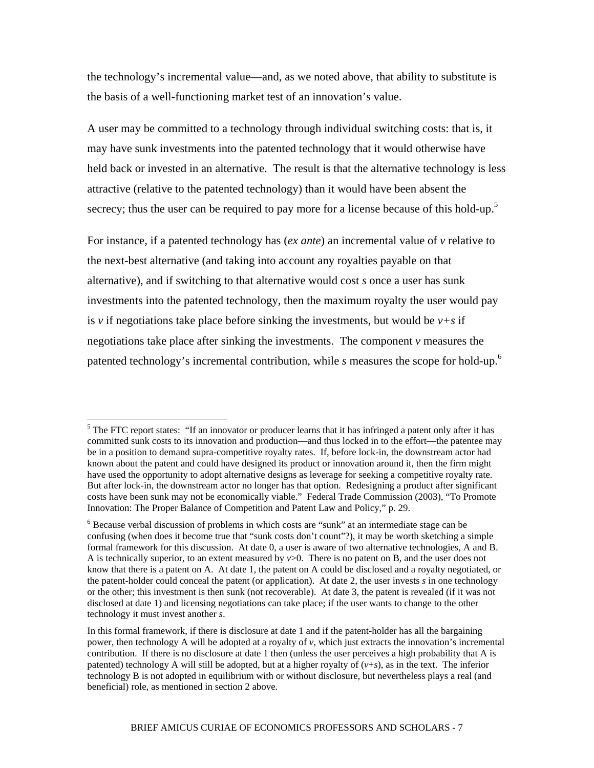the technology's incremental value—and, as we noted above, that ability to substitute is the basis of a well-functioning market test of an innovation's value.

A user may be committed to a technology through individual switching costs: that is, it may have sunk investments into the patented technology that it would otherwise have held back or invested in an alternative. The result is that the alternative technology is less attractive (relative to the patented technology) than it would have been absent the secrecy; thus the user can be required to pay more for a license because of this hold-up.<sup>5</sup>

For instance, if a patented technology has (*ex ante*) an incremental value of *v* relative to the next-best alternative (and taking into account any royalties payable on that alternative), and if switching to that alternative would cost *s* once a user has sunk investments into the patented technology, then the maximum royalty the user would pay is *v* if negotiations take place before sinking the investments, but would be  $v+s$  if negotiations take place after sinking the investments. The component *v* measures the patented technology's incremental contribution, while *s* measures the scope for hold-up.6

1

<sup>&</sup>lt;sup>5</sup> The FTC report states: "If an innovator or producer learns that it has infringed a patent only after it has committed sunk costs to its innovation and production—and thus locked in to the effort—the patentee may be in a position to demand supra-competitive royalty rates. If, before lock-in, the downstream actor had known about the patent and could have designed its product or innovation around it, then the firm might have used the opportunity to adopt alternative designs as leverage for seeking a competitive royalty rate. But after lock-in, the downstream actor no longer has that option. Redesigning a product after significant costs have been sunk may not be economically viable." Federal Trade Commission (2003), "To Promote Innovation: The Proper Balance of Competition and Patent Law and Policy," p. 29.

<sup>&</sup>lt;sup>6</sup> Because verbal discussion of problems in which costs are "sunk" at an intermediate stage can be confusing (when does it become true that "sunk costs don't count"?), it may be worth sketching a simple formal framework for this discussion. At date 0, a user is aware of two alternative technologies, A and B. A is technically superior, to an extent measured by *v*>0. There is no patent on B, and the user does not know that there is a patent on A. At date 1, the patent on A could be disclosed and a royalty negotiated, or the patent-holder could conceal the patent (or application). At date 2, the user invests *s* in one technology or the other; this investment is then sunk (not recoverable). At date 3, the patent is revealed (if it was not disclosed at date 1) and licensing negotiations can take place; if the user wants to change to the other technology it must invest another *s*.

In this formal framework, if there is disclosure at date 1 and if the patent-holder has all the bargaining power, then technology A will be adopted at a royalty of *v*, which just extracts the innovation's incremental contribution. If there is no disclosure at date 1 then (unless the user perceives a high probability that A is patented) technology A will still be adopted, but at a higher royalty of  $(v+s)$ , as in the text. The inferior technology B is not adopted in equilibrium with or without disclosure, but nevertheless plays a real (and beneficial) role, as mentioned in section 2 above.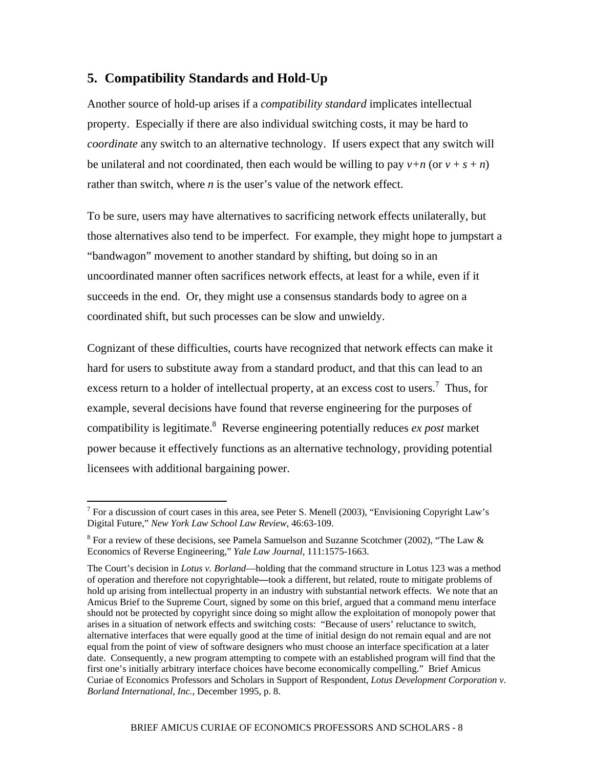## **5. Compatibility Standards and Hold-Up**

Another source of hold-up arises if a *compatibility standard* implicates intellectual property. Especially if there are also individual switching costs, it may be hard to *coordinate* any switch to an alternative technology. If users expect that any switch will be unilateral and not coordinated, then each would be willing to pay  $v+n$  (or  $v+s+n$ ) rather than switch, where *n* is the user's value of the network effect.

To be sure, users may have alternatives to sacrificing network effects unilaterally, but those alternatives also tend to be imperfect. For example, they might hope to jumpstart a "bandwagon" movement to another standard by shifting, but doing so in an uncoordinated manner often sacrifices network effects, at least for a while, even if it succeeds in the end. Or, they might use a consensus standards body to agree on a coordinated shift, but such processes can be slow and unwieldy.

Cognizant of these difficulties, courts have recognized that network effects can make it hard for users to substitute away from a standard product, and that this can lead to an excess return to a holder of intellectual property, at an excess cost to users.<sup>7</sup> Thus, for example, several decisions have found that reverse engineering for the purposes of compatibility is legitimate.8 Reverse engineering potentially reduces *ex post* market power because it effectively functions as an alternative technology, providing potential licensees with additional bargaining power.

 $\overline{a}$ 

<sup>&</sup>lt;sup>7</sup> For a discussion of court cases in this area, see Peter S. Menell (2003), "Envisioning Copyright Law's Digital Future," *New York Law School Law Review*, 46:63-109.

<sup>&</sup>lt;sup>8</sup> For a review of these decisions, see Pamela Samuelson and Suzanne Scotchmer (2002), "The Law & Economics of Reverse Engineering," *Yale Law Journal,* 111:1575-1663.

The Court's decision in *Lotus v. Borland*—holding that the command structure in Lotus 123 was a method of operation and therefore not copyrightable**—**took a different, but related, route to mitigate problems of hold up arising from intellectual property in an industry with substantial network effects. We note that an Amicus Brief to the Supreme Court, signed by some on this brief, argued that a command menu interface should not be protected by copyright since doing so might allow the exploitation of monopoly power that arises in a situation of network effects and switching costs: "Because of users' reluctance to switch, alternative interfaces that were equally good at the time of initial design do not remain equal and are not equal from the point of view of software designers who must choose an interface specification at a later date. Consequently, a new program attempting to compete with an established program will find that the first one's initially arbitrary interface choices have become economically compelling." Brief Amicus Curiae of Economics Professors and Scholars in Support of Respondent, *Lotus Development Corporation v. Borland International, Inc.*, December 1995, p. 8.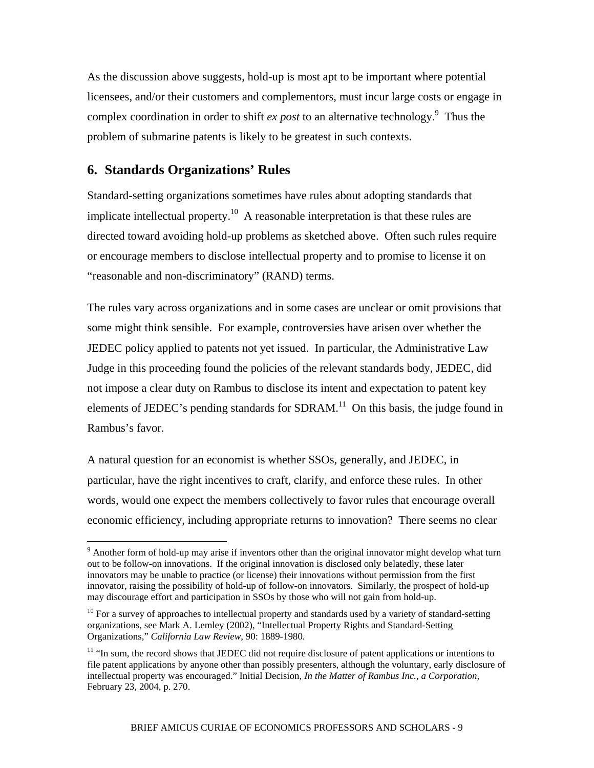As the discussion above suggests, hold-up is most apt to be important where potential licensees, and/or their customers and complementors, must incur large costs or engage in complex coordination in order to shift  $ex$  *post* to an alternative technology.<sup>9</sup> Thus the problem of submarine patents is likely to be greatest in such contexts.

## **6. Standards Organizations' Rules**

 $\overline{a}$ 

Standard-setting organizations sometimes have rules about adopting standards that implicate intellectual property.<sup>10</sup> A reasonable interpretation is that these rules are directed toward avoiding hold-up problems as sketched above. Often such rules require or encourage members to disclose intellectual property and to promise to license it on "reasonable and non-discriminatory" (RAND) terms.

The rules vary across organizations and in some cases are unclear or omit provisions that some might think sensible. For example, controversies have arisen over whether the JEDEC policy applied to patents not yet issued. In particular, the Administrative Law Judge in this proceeding found the policies of the relevant standards body, JEDEC, did not impose a clear duty on Rambus to disclose its intent and expectation to patent key elements of JEDEC's pending standards for  $SDRAM<sup>11</sup>$  On this basis, the judge found in Rambus's favor.

A natural question for an economist is whether SSOs, generally, and JEDEC, in particular, have the right incentives to craft, clarify, and enforce these rules. In other words, would one expect the members collectively to favor rules that encourage overall economic efficiency, including appropriate returns to innovation? There seems no clear

 $9$  Another form of hold-up may arise if inventors other than the original innovator might develop what turn out to be follow-on innovations. If the original innovation is disclosed only belatedly, these later innovators may be unable to practice (or license) their innovations without permission from the first innovator, raising the possibility of hold-up of follow-on innovators. Similarly, the prospect of hold-up may discourage effort and participation in SSOs by those who will not gain from hold-up.

 $10$  For a survey of approaches to intellectual property and standards used by a variety of standard-setting organizations, see Mark A. Lemley (2002), "Intellectual Property Rights and Standard-Setting Organizations," *California Law Review*, 90: 1889-1980.

<sup>&</sup>lt;sup>11</sup> "In sum, the record shows that JEDEC did not require disclosure of patent applications or intentions to file patent applications by anyone other than possibly presenters, although the voluntary, early disclosure of intellectual property was encouraged." Initial Decision, *In the Matter of Rambus Inc., a Corporation,* February 23, 2004, p. 270.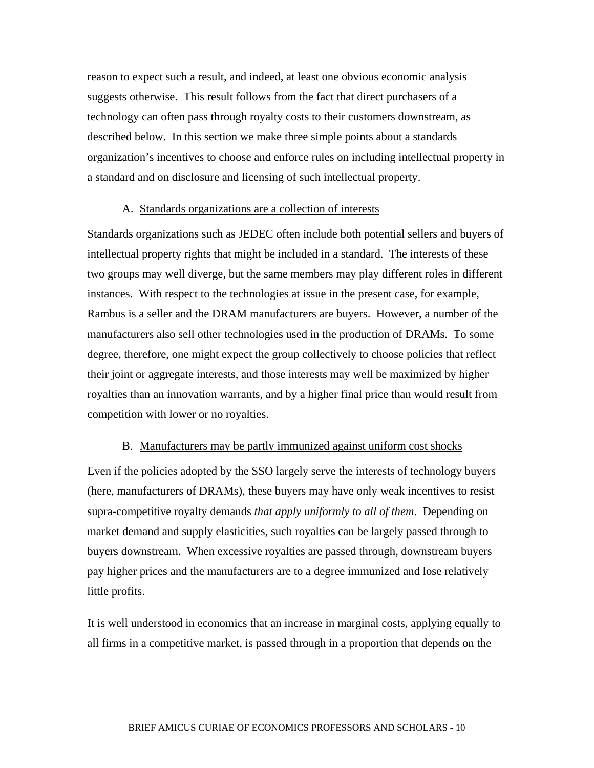reason to expect such a result, and indeed, at least one obvious economic analysis suggests otherwise. This result follows from the fact that direct purchasers of a technology can often pass through royalty costs to their customers downstream, as described below. In this section we make three simple points about a standards organization's incentives to choose and enforce rules on including intellectual property in a standard and on disclosure and licensing of such intellectual property.

#### A. Standards organizations are a collection of interests

Standards organizations such as JEDEC often include both potential sellers and buyers of intellectual property rights that might be included in a standard. The interests of these two groups may well diverge, but the same members may play different roles in different instances. With respect to the technologies at issue in the present case, for example, Rambus is a seller and the DRAM manufacturers are buyers. However, a number of the manufacturers also sell other technologies used in the production of DRAMs. To some degree, therefore, one might expect the group collectively to choose policies that reflect their joint or aggregate interests, and those interests may well be maximized by higher royalties than an innovation warrants, and by a higher final price than would result from competition with lower or no royalties.

#### B. Manufacturers may be partly immunized against uniform cost shocks

Even if the policies adopted by the SSO largely serve the interests of technology buyers (here, manufacturers of DRAMs), these buyers may have only weak incentives to resist supra-competitive royalty demands *that apply uniformly to all of them*. Depending on market demand and supply elasticities, such royalties can be largely passed through to buyers downstream. When excessive royalties are passed through, downstream buyers pay higher prices and the manufacturers are to a degree immunized and lose relatively little profits.

It is well understood in economics that an increase in marginal costs, applying equally to all firms in a competitive market, is passed through in a proportion that depends on the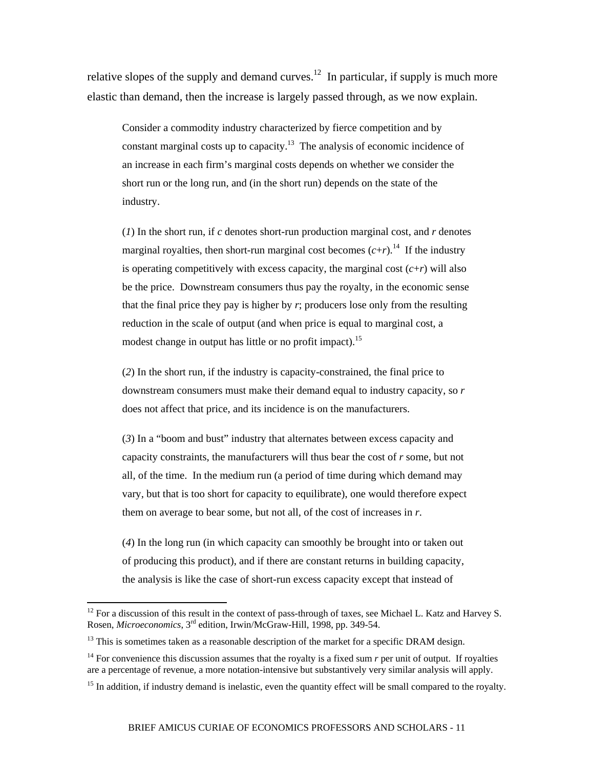relative slopes of the supply and demand curves.<sup>12</sup> In particular, if supply is much more elastic than demand, then the increase is largely passed through, as we now explain.

Consider a commodity industry characterized by fierce competition and by constant marginal costs up to capacity.<sup>13</sup> The analysis of economic incidence of an increase in each firm's marginal costs depends on whether we consider the short run or the long run, and (in the short run) depends on the state of the industry.

(*1*) In the short run, if *c* denotes short-run production marginal cost, and *r* denotes marginal royalties, then short-run marginal cost becomes  $(c+r)$ .<sup>14</sup> If the industry is operating competitively with excess capacity, the marginal cost  $(c+r)$  will also be the price. Downstream consumers thus pay the royalty, in the economic sense that the final price they pay is higher by  $r$ ; producers lose only from the resulting reduction in the scale of output (and when price is equal to marginal cost, a modest change in output has little or no profit impact).<sup>15</sup>

(*2*) In the short run, if the industry is capacity-constrained, the final price to downstream consumers must make their demand equal to industry capacity, so *r* does not affect that price, and its incidence is on the manufacturers.

(*3*) In a "boom and bust" industry that alternates between excess capacity and capacity constraints, the manufacturers will thus bear the cost of *r* some, but not all, of the time. In the medium run (a period of time during which demand may vary, but that is too short for capacity to equilibrate), one would therefore expect them on average to bear some, but not all, of the cost of increases in *r*.

(*4*) In the long run (in which capacity can smoothly be brought into or taken out of producing this product), and if there are constant returns in building capacity, the analysis is like the case of short-run excess capacity except that instead of

 $\overline{a}$ 

 $12$  For a discussion of this result in the context of pass-through of taxes, see Michael L. Katz and Harvey S. Rosen, *Microeconomics*, 3rd edition, Irwin/McGraw-Hill, 1998, pp. 349-54.

 $13$  This is sometimes taken as a reasonable description of the market for a specific DRAM design.

<sup>&</sup>lt;sup>14</sup> For convenience this discussion assumes that the royalty is a fixed sum *r* per unit of output. If royalties are a percentage of revenue, a more notation-intensive but substantively very similar analysis will apply.

 $15$  In addition, if industry demand is inelastic, even the quantity effect will be small compared to the royalty.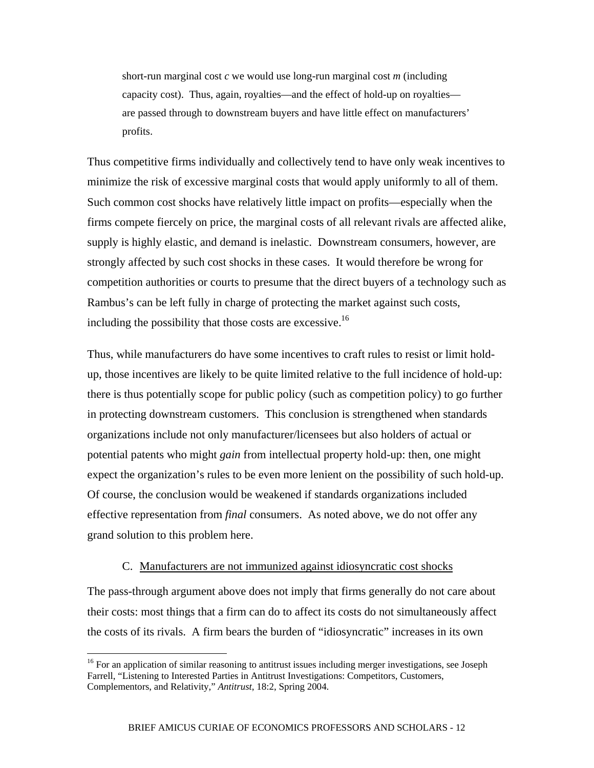short-run marginal cost *c* we would use long-run marginal cost *m* (including capacity cost). Thus, again, royalties—and the effect of hold-up on royalties are passed through to downstream buyers and have little effect on manufacturers' profits.

Thus competitive firms individually and collectively tend to have only weak incentives to minimize the risk of excessive marginal costs that would apply uniformly to all of them. Such common cost shocks have relatively little impact on profits—especially when the firms compete fiercely on price, the marginal costs of all relevant rivals are affected alike, supply is highly elastic, and demand is inelastic. Downstream consumers, however, are strongly affected by such cost shocks in these cases. It would therefore be wrong for competition authorities or courts to presume that the direct buyers of a technology such as Rambus's can be left fully in charge of protecting the market against such costs, including the possibility that those costs are excessive.<sup>16</sup>

Thus, while manufacturers do have some incentives to craft rules to resist or limit holdup, those incentives are likely to be quite limited relative to the full incidence of hold-up: there is thus potentially scope for public policy (such as competition policy) to go further in protecting downstream customers. This conclusion is strengthened when standards organizations include not only manufacturer/licensees but also holders of actual or potential patents who might *gain* from intellectual property hold-up: then, one might expect the organization's rules to be even more lenient on the possibility of such hold-up. Of course, the conclusion would be weakened if standards organizations included effective representation from *final* consumers. As noted above, we do not offer any grand solution to this problem here.

#### C. Manufacturers are not immunized against idiosyncratic cost shocks

The pass-through argument above does not imply that firms generally do not care about their costs: most things that a firm can do to affect its costs do not simultaneously affect the costs of its rivals. A firm bears the burden of "idiosyncratic" increases in its own

 $\overline{a}$ 

<sup>&</sup>lt;sup>16</sup> For an application of similar reasoning to antitrust issues including merger investigations, see Joseph Farrell, "Listening to Interested Parties in Antitrust Investigations: Competitors, Customers, Complementors, and Relativity," *Antitrust*, 18:2, Spring 2004.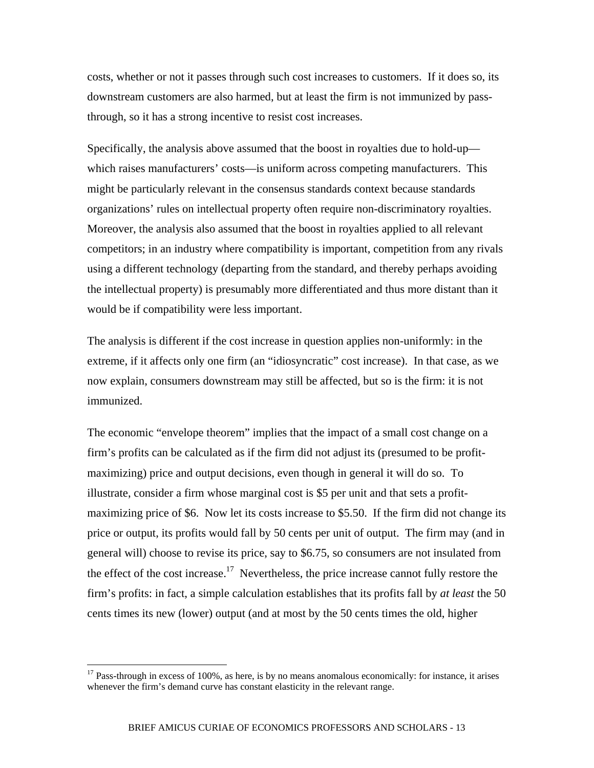costs, whether or not it passes through such cost increases to customers. If it does so, its downstream customers are also harmed, but at least the firm is not immunized by passthrough, so it has a strong incentive to resist cost increases.

Specifically, the analysis above assumed that the boost in royalties due to hold-up which raises manufacturers' costs—is uniform across competing manufacturers. This might be particularly relevant in the consensus standards context because standards organizations' rules on intellectual property often require non-discriminatory royalties. Moreover, the analysis also assumed that the boost in royalties applied to all relevant competitors; in an industry where compatibility is important, competition from any rivals using a different technology (departing from the standard, and thereby perhaps avoiding the intellectual property) is presumably more differentiated and thus more distant than it would be if compatibility were less important.

The analysis is different if the cost increase in question applies non-uniformly: in the extreme, if it affects only one firm (an "idiosyncratic" cost increase). In that case, as we now explain, consumers downstream may still be affected, but so is the firm: it is not immunized.

The economic "envelope theorem" implies that the impact of a small cost change on a firm's profits can be calculated as if the firm did not adjust its (presumed to be profitmaximizing) price and output decisions, even though in general it will do so. To illustrate, consider a firm whose marginal cost is \$5 per unit and that sets a profitmaximizing price of \$6. Now let its costs increase to \$5.50. If the firm did not change its price or output, its profits would fall by 50 cents per unit of output. The firm may (and in general will) choose to revise its price, say to \$6.75, so consumers are not insulated from the effect of the cost increase.<sup>17</sup> Nevertheless, the price increase cannot fully restore the firm's profits: in fact, a simple calculation establishes that its profits fall by *at least* the 50 cents times its new (lower) output (and at most by the 50 cents times the old, higher

1

<sup>&</sup>lt;sup>17</sup> Pass-through in excess of 100%, as here, is by no means anomalous economically: for instance, it arises whenever the firm's demand curve has constant elasticity in the relevant range.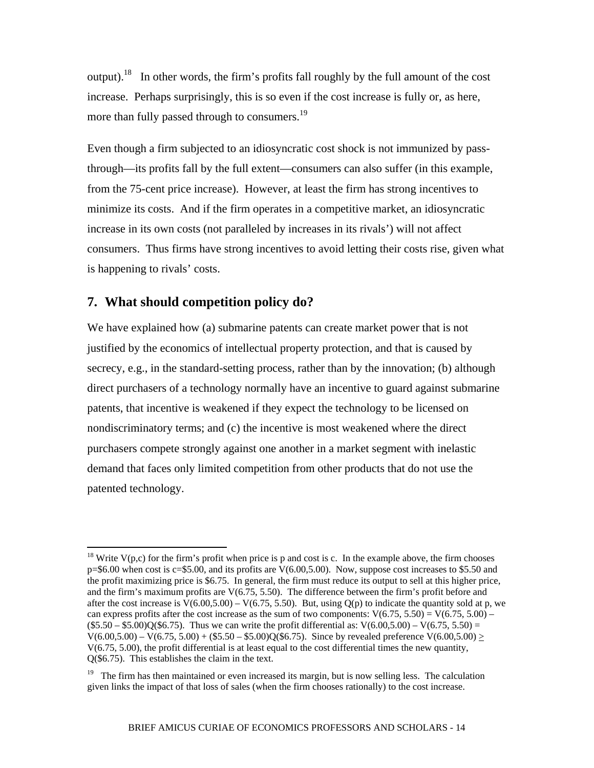output).18 In other words, the firm's profits fall roughly by the full amount of the cost increase. Perhaps surprisingly, this is so even if the cost increase is fully or, as here, more than fully passed through to consumers.<sup>19</sup>

Even though a firm subjected to an idiosyncratic cost shock is not immunized by passthrough—its profits fall by the full extent—consumers can also suffer (in this example, from the 75-cent price increase). However, at least the firm has strong incentives to minimize its costs. And if the firm operates in a competitive market, an idiosyncratic increase in its own costs (not paralleled by increases in its rivals') will not affect consumers. Thus firms have strong incentives to avoid letting their costs rise, given what is happening to rivals' costs.

### **7. What should competition policy do?**

1

We have explained how (a) submarine patents can create market power that is not justified by the economics of intellectual property protection, and that is caused by secrecy, e.g., in the standard-setting process, rather than by the innovation; (b) although direct purchasers of a technology normally have an incentive to guard against submarine patents, that incentive is weakened if they expect the technology to be licensed on nondiscriminatory terms; and (c) the incentive is most weakened where the direct purchasers compete strongly against one another in a market segment with inelastic demand that faces only limited competition from other products that do not use the patented technology.

<sup>&</sup>lt;sup>18</sup> Write  $V(p,c)$  for the firm's profit when price is p and cost is c. In the example above, the firm chooses  $p=$ \$6.00 when cost is c=\$5.00, and its profits are  $V(6.00, 5.00)$ . Now, suppose cost increases to \$5.50 and the profit maximizing price is \$6.75. In general, the firm must reduce its output to sell at this higher price, and the firm's maximum profits are V(6.75, 5.50). The difference between the firm's profit before and after the cost increase is  $V(6.00, 5.00) - V(6.75, 5.50)$ . But, using  $Q(p)$  to indicate the quantity sold at p, we can express profits after the cost increase as the sum of two components:  $V(6.75, 5.50) = V(6.75, 5.00)$  –  $($5.50 - $5.00)Q($6.75)$ . Thus we can write the profit differential as:  $V(6.00, 5.00) - V(6.75, 5.50) =$  $V(6.00,5.00) - V(6.75, 5.00) + (\$5.50 - \$5.00)Q(\$6.75)$ . Since by revealed preference  $V(6.00, 5.00)$  > V(6.75, 5.00), the profit differential is at least equal to the cost differential times the new quantity, Q(\$6.75). This establishes the claim in the text.

<sup>&</sup>lt;sup>19</sup> The firm has then maintained or even increased its margin, but is now selling less. The calculation given links the impact of that loss of sales (when the firm chooses rationally) to the cost increase.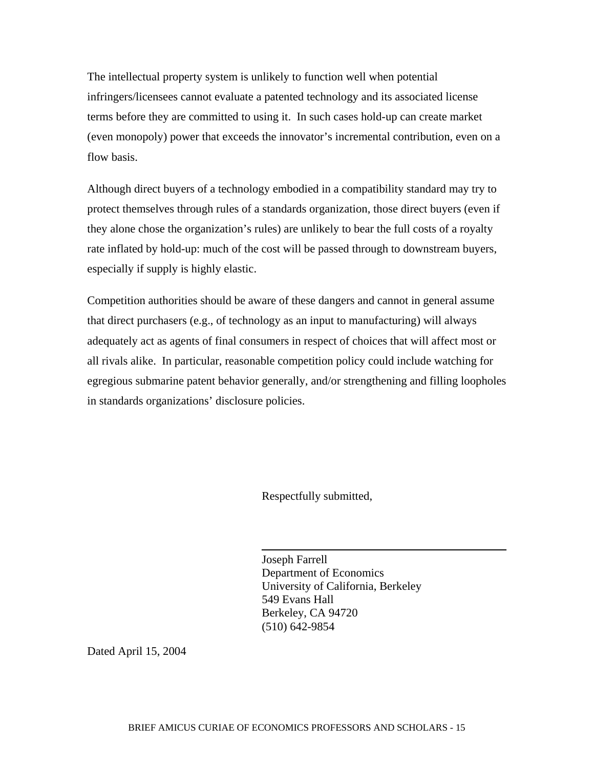The intellectual property system is unlikely to function well when potential infringers/licensees cannot evaluate a patented technology and its associated license terms before they are committed to using it. In such cases hold-up can create market (even monopoly) power that exceeds the innovator's incremental contribution, even on a flow basis.

Although direct buyers of a technology embodied in a compatibility standard may try to protect themselves through rules of a standards organization, those direct buyers (even if they alone chose the organization's rules) are unlikely to bear the full costs of a royalty rate inflated by hold-up: much of the cost will be passed through to downstream buyers, especially if supply is highly elastic.

Competition authorities should be aware of these dangers and cannot in general assume that direct purchasers (e.g., of technology as an input to manufacturing) will always adequately act as agents of final consumers in respect of choices that will affect most or all rivals alike. In particular, reasonable competition policy could include watching for egregious submarine patent behavior generally, and/or strengthening and filling loopholes in standards organizations' disclosure policies.

Respectfully submitted,

 Joseph Farrell Department of Economics University of California, Berkeley 549 Evans Hall Berkeley, CA 94720 (510) 642-9854

Dated April 15, 2004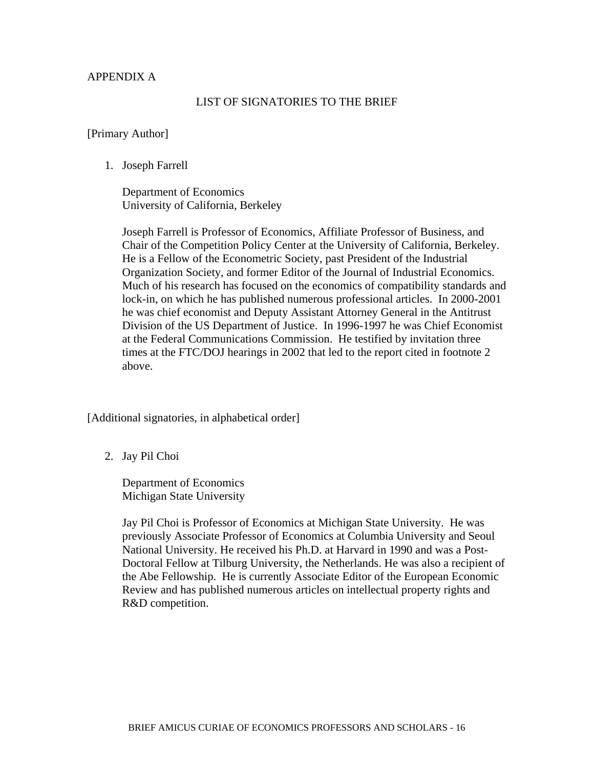#### APPENDIX A

#### LIST OF SIGNATORIES TO THE BRIEF

#### [Primary Author]

1. Joseph Farrell

Department of Economics University of California, Berkeley

Joseph Farrell is Professor of Economics, Affiliate Professor of Business, and Chair of the Competition Policy Center at the University of California, Berkeley. He is a Fellow of the Econometric Society, past President of the Industrial Organization Society, and former Editor of the Journal of Industrial Economics. Much of his research has focused on the economics of compatibility standards and lock-in, on which he has published numerous professional articles. In 2000-2001 he was chief economist and Deputy Assistant Attorney General in the Antitrust Division of the US Department of Justice. In 1996-1997 he was Chief Economist at the Federal Communications Commission. He testified by invitation three times at the FTC/DOJ hearings in 2002 that led to the report cited in footnote 2 above.

[Additional signatories, in alphabetical order]

2. Jay Pil Choi

Department of Economics Michigan State University

Jay Pil Choi is Professor of Economics at Michigan State University. He was previously Associate Professor of Economics at Columbia University and Seoul National University. He received his Ph.D. at Harvard in 1990 and was a Post-Doctoral Fellow at Tilburg University, the Netherlands. He was also a recipient of the Abe Fellowship. He is currently Associate Editor of the European Economic Review and has published numerous articles on intellectual property rights and R&D competition.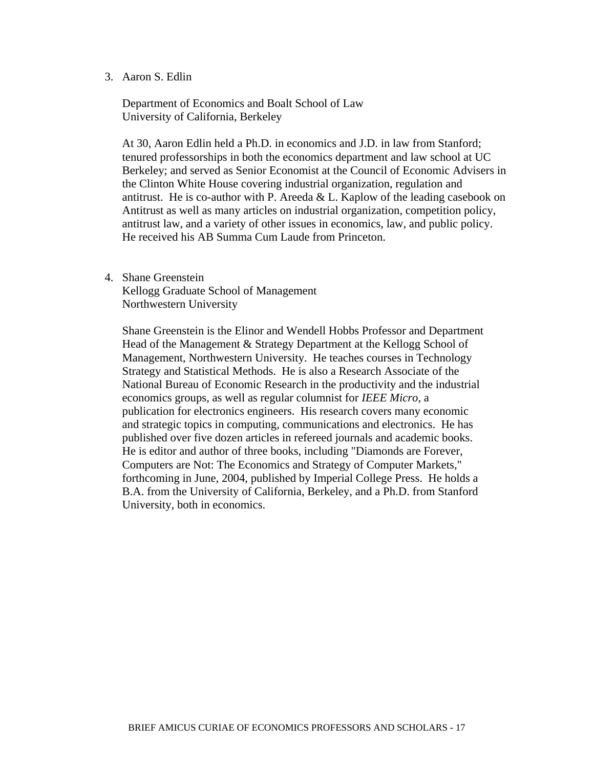#### 3. Aaron S. Edlin

Department of Economics and Boalt School of Law University of California, Berkeley

At 30, Aaron Edlin held a Ph.D. in economics and J.D. in law from Stanford; tenured professorships in both the economics department and law school at UC Berkeley; and served as Senior Economist at the Council of Economic Advisers in the Clinton White House covering industrial organization, regulation and antitrust. He is co-author with P. Areeda  $&$  L. Kaplow of the leading casebook on Antitrust as well as many articles on industrial organization, competition policy, antitrust law, and a variety of other issues in economics, law, and public policy. He received his AB Summa Cum Laude from Princeton.

4. Shane Greenstein

Kellogg Graduate School of Management Northwestern University

Shane Greenstein is the Elinor and Wendell Hobbs Professor and Department Head of the Management & Strategy Department at the Kellogg School of Management, Northwestern University. He teaches courses in Technology Strategy and Statistical Methods. He is also a Research Associate of the National Bureau of Economic Research in the productivity and the industrial economics groups, as well as regular columnist for *IEEE Micro*, a publication for electronics engineers. His research covers many economic and strategic topics in computing, communications and electronics. He has published over five dozen articles in refereed journals and academic books. He is editor and author of three books, including "Diamonds are Forever, Computers are Not: The Economics and Strategy of Computer Markets," forthcoming in June, 2004, published by Imperial College Press. He holds a B.A. from the University of California, Berkeley, and a Ph.D. from Stanford University, both in economics.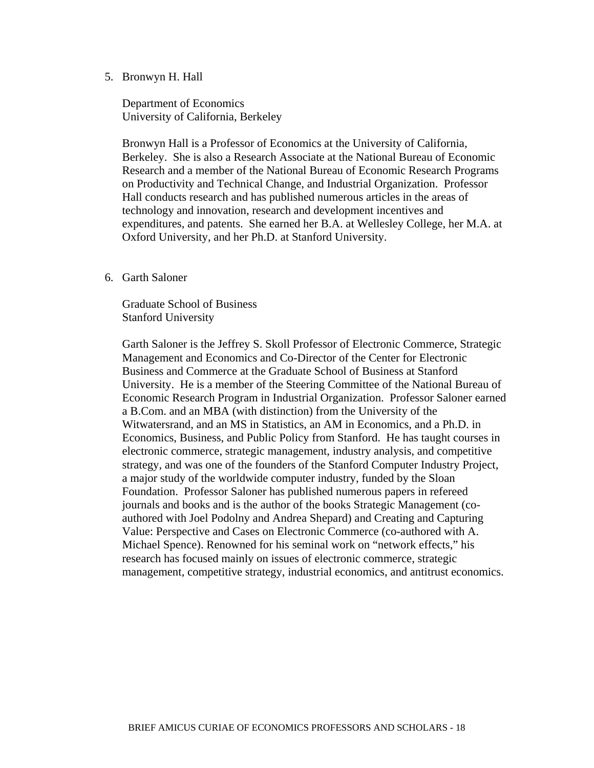#### 5. Bronwyn H. Hall

Department of Economics University of California, Berkeley

Bronwyn Hall is a Professor of Economics at the University of California, Berkeley. She is also a Research Associate at the National Bureau of Economic Research and a member of the National Bureau of Economic Research Programs on Productivity and Technical Change, and Industrial Organization. Professor Hall conducts research and has published numerous articles in the areas of technology and innovation, research and development incentives and expenditures, and patents. She earned her B.A. at Wellesley College, her M.A. at Oxford University, and her Ph.D. at Stanford University.

#### 6. Garth Saloner

Graduate School of Business Stanford University

Garth Saloner is the Jeffrey S. Skoll Professor of Electronic Commerce, Strategic Management and Economics and Co-Director of the Center for Electronic Business and Commerce at the Graduate School of Business at Stanford University. He is a member of the Steering Committee of the National Bureau of Economic Research Program in Industrial Organization. Professor Saloner earned a B.Com. and an MBA (with distinction) from the University of the Witwatersrand, and an MS in Statistics, an AM in Economics, and a Ph.D. in Economics, Business, and Public Policy from Stanford. He has taught courses in electronic commerce, strategic management, industry analysis, and competitive strategy, and was one of the founders of the Stanford Computer Industry Project, a major study of the worldwide computer industry, funded by the Sloan Foundation. Professor Saloner has published numerous papers in refereed journals and books and is the author of the books Strategic Management (coauthored with Joel Podolny and Andrea Shepard) and Creating and Capturing Value: Perspective and Cases on Electronic Commerce (co-authored with A. Michael Spence). Renowned for his seminal work on "network effects," his research has focused mainly on issues of electronic commerce, strategic management, competitive strategy, industrial economics, and antitrust economics.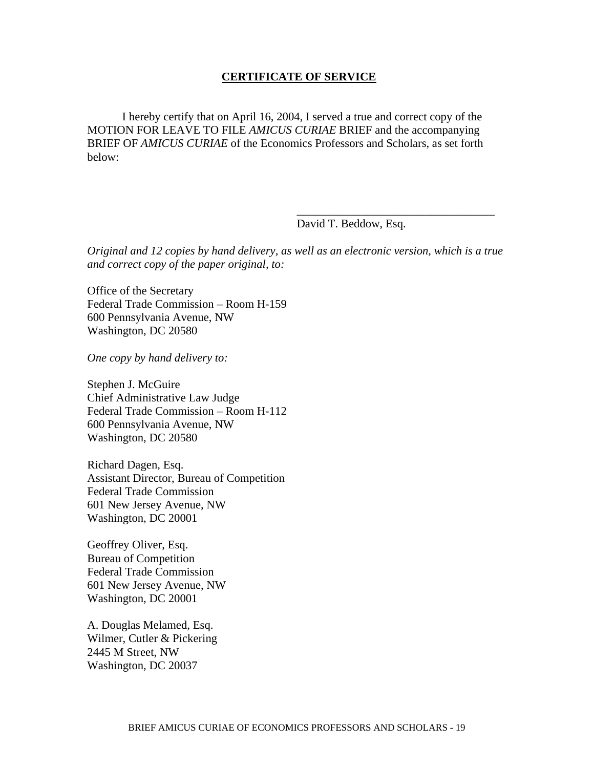#### **CERTIFICATE OF SERVICE**

 I hereby certify that on April 16, 2004, I served a true and correct copy of the MOTION FOR LEAVE TO FILE *AMICUS CURIAE* BRIEF and the accompanying BRIEF OF *AMICUS CURIAE* of the Economics Professors and Scholars, as set forth below:

David T. Beddow, Esq.

*Original and 12 copies by hand delivery, as well as an electronic version, which is a true and correct copy of the paper original, to:* 

 $\overline{\phantom{a}}$  , which is a set of the set of the set of the set of the set of the set of the set of the set of the set of the set of the set of the set of the set of the set of the set of the set of the set of the set of th

Office of the Secretary Federal Trade Commission – Room H-159 600 Pennsylvania Avenue, NW Washington, DC 20580

*One copy by hand delivery to:* 

Stephen J. McGuire Chief Administrative Law Judge Federal Trade Commission – Room H-112 600 Pennsylvania Avenue, NW Washington, DC 20580

Richard Dagen, Esq. Assistant Director, Bureau of Competition Federal Trade Commission 601 New Jersey Avenue, NW Washington, DC 20001

Geoffrey Oliver, Esq. Bureau of Competition Federal Trade Commission 601 New Jersey Avenue, NW Washington, DC 20001

A. Douglas Melamed, Esq. Wilmer, Cutler & Pickering 2445 M Street, NW Washington, DC 20037